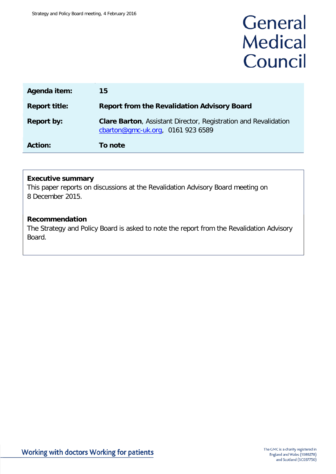# General **Medical** Council

| Agenda item:         | 15                                                                                                          |
|----------------------|-------------------------------------------------------------------------------------------------------------|
| <b>Report title:</b> | <b>Report from the Revalidation Advisory Board</b>                                                          |
| <b>Report by:</b>    | <b>Clare Barton, Assistant Director, Registration and Revalidation</b><br>cbarton@gmc-uk.org, 0161 923 6589 |
| <b>Action:</b>       | To note                                                                                                     |

### **Executive summary**

This paper reports on discussions at the Revalidation Advisory Board meeting on 8 December 2015.

### **Recommendation**

The Strategy and Policy Board is asked to note the report from the Revalidation Advisory Board.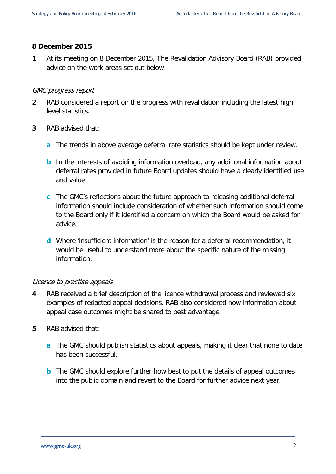### **8 December 2015**

**1** At its meeting on 8 December 2015, The Revalidation Advisory Board (RAB) provided advice on the work areas set out below.

### GMC progress report

- **2** RAB considered a report on the progress with revalidation including the latest high level statistics.
- **3** RAB advised that:
	- **a** The trends in above average deferral rate statistics should be kept under review.
	- **b** In the interests of avoiding information overload, any additional information about deferral rates provided in future Board updates should have a clearly identified use and value.
	- **c** The GMC's reflections about the future approach to releasing additional deferral information should include consideration of whether such information should come to the Board only if it identified a concern on which the Board would be asked for advice.
	- **d** Where 'insufficient information' is the reason for a deferral recommendation, it would be useful to understand more about the specific nature of the missing information.

### Licence to practise appeals

- **4** RAB received a brief description of the licence withdrawal process and reviewed six examples of redacted appeal decisions. RAB also considered how information about appeal case outcomes might be shared to best advantage.
- **5** RAB advised that:
	- **a** The GMC should publish statistics about appeals, making it clear that none to date has been successful.
	- **b** The GMC should explore further how best to put the details of appeal outcomes into the public domain and revert to the Board for further advice next year.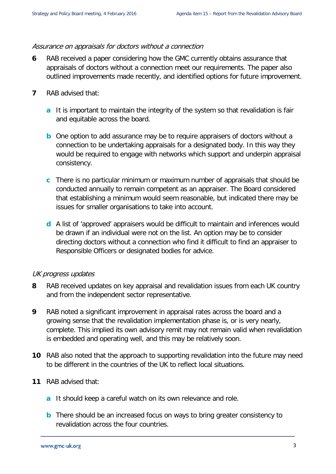#### Assurance on appraisals for doctors without a connection

- **6** RAB received a paper considering how the GMC currently obtains assurance that appraisals of doctors without a connection meet our requirements. The paper also outlined improvements made recently, and identified options for future improvement.
- **7** RAB advised that:
	- **a** It is important to maintain the integrity of the system so that revalidation is fair and equitable across the board.
	- **b** One option to add assurance may be to require appraisers of doctors without a connection to be undertaking appraisals for a designated body. In this way they would be required to engage with networks which support and underpin appraisal consistency.
	- **c** There is no particular minimum or maximum number of appraisals that should be conducted annually to remain competent as an appraiser. The Board considered that establishing a minimum would seem reasonable, but indicated there may be issues for smaller organisations to take into account.
	- **d** A list of 'approved' appraisers would be difficult to maintain and inferences would be drawn if an individual were not on the list. An option may be to consider directing doctors without a connection who find it difficult to find an appraiser to Responsible Officers or designated bodies for advice.

### UK progress updates

- **8** RAB received updates on key appraisal and revalidation issues from each UK country and from the independent sector representative.
- **9** RAB noted a significant improvement in appraisal rates across the board and a growing sense that the revalidation implementation phase is, or is very nearly, complete. This implied its own advisory remit may not remain valid when revalidation is embedded and operating well, and this may be relatively soon.
- **10** RAB also noted that the approach to supporting revalidation into the future may need to be different in the countries of the UK to reflect local situations.
- **11** RAB advised that:
	- **a** It should keep a careful watch on its own relevance and role.
	- **b** There should be an increased focus on ways to bring greater consistency to revalidation across the four countries.